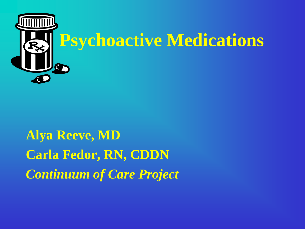

**Alya Reeve, MD Carla Fedor, RN, CDDN** *Continuum of Care Project*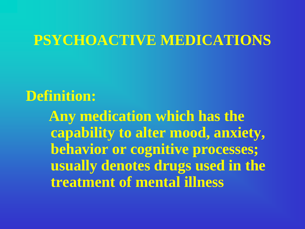### **PSYCHOACTIVE MEDICATIONS**

### **Definition:**

 **Any medication which has the capability to alter mood, anxiety, behavior or cognitive processes; usually denotes drugs used in the treatment of mental illness**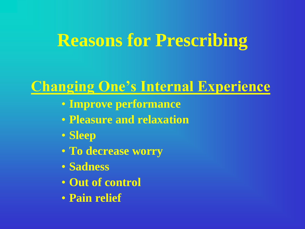## **Reasons for Prescribing**

### **Changing One's Internal Experience**

- **Improve performance**
- **Pleasure and relaxation**
- **Sleep**
- **To decrease worry**
- **Sadness**
- **Out of control**
- **Pain relief**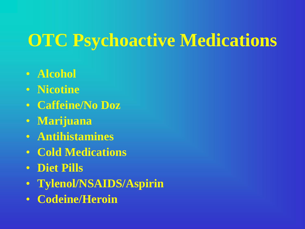# **OTC Psychoactive Medications**

- **Alcohol**
- **Nicotine**
- **Caffeine/No Doz**
- **Marijuana**
- **Antihistamines**
- **Cold Medications**
- **Diet Pills**
- **Tylenol/NSAIDS/Aspirin**
- **Codeine/Heroin**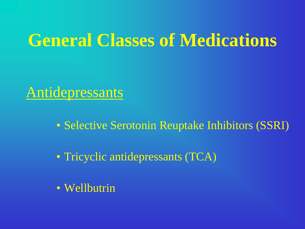### Antidepressants

• Selective Serotonin Reuptake Inhibitors (SSRI)

• Tricyclic antidepressants (TCA)

• Wellbutrin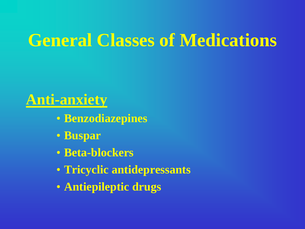### **Anti-anxiety**

- **Benzodiazepines**
- **Buspar**
- **Beta-blockers**
- **Tricyclic antidepressants**
- **Antiepileptic drugs**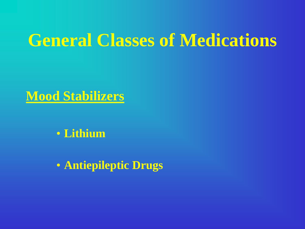#### **Mood Stabilizers**

• **Lithium**

• **Antiepileptic Drugs**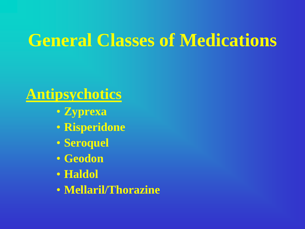### **Antipsychotics**

- **Zyprexa**
- **Risperidone**
- **Seroquel**
- **Geodon**
- **Haldol**
- **Mellaril/Thorazine**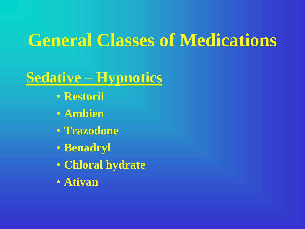### **Sedative – Hypnotics**

- **Restoril**
- **Ambien**
- **Trazodone**
- **Benadryl**
- **Chloral hydrate**
- **Ativan**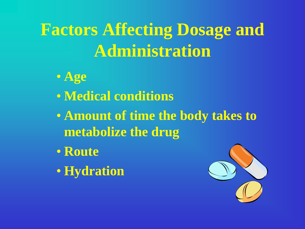# **Factors Affecting Dosage and Administration**

- **Age**
- **Medical conditions**
- **Amount of time the body takes to metabolize the drug**
- **Route**
- **Hydration**

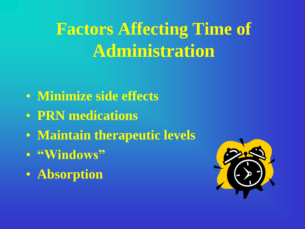- **Minimize side effects**
- **PRN medications**
- **Maintain therapeutic levels**
- **"Windows"**
- **Absorption**

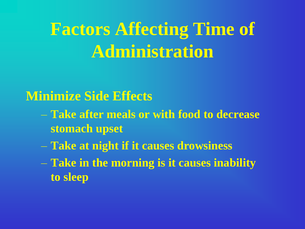#### **Minimize Side Effects**

- **Take after meals or with food to decrease stomach upset**
- **Take at night if it causes drowsiness**
- **Take in the morning is it causes inability to sleep**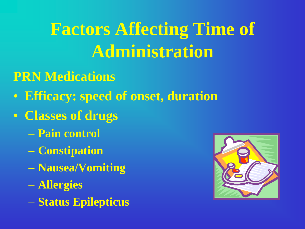### **PRN Medications**

- **Efficacy: speed of onset, duration**
- **Classes of drugs**
	- **Pain control**
	- **Constipation**
	- **Nausea/Vomiting**
	- **Allergies**
	- **Status Epilepticus**

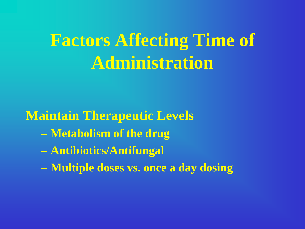**Maintain Therapeutic Levels**

- **Metabolism of the drug**
- **Antibiotics/Antifungal**
- **Multiple doses vs. once a day dosing**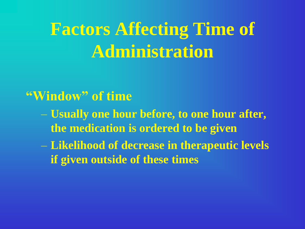#### **"Window" of time**

- **Usually one hour before, to one hour after, the medication is ordered to be given**
- **Likelihood of decrease in therapeutic levels if given outside of these times**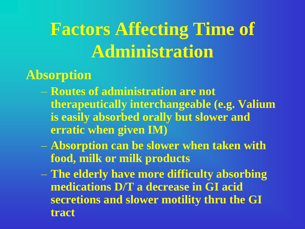### **Absorption**

- **Routes of administration are not therapeutically interchangeable (e.g. Valium is easily absorbed orally but slower and erratic when given IM)**
- **Absorption can be slower when taken with food, milk or milk products**
- **The elderly have more difficulty absorbing medications D/T a decrease in GI acid secretions and slower motility thru the GI tract**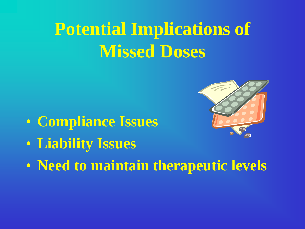# **Potential Implications of Missed Doses**

- **Compliance Issues**
- **Liability Issues**
- **Need to maintain therapeutic levels**

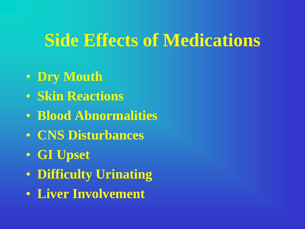## **Side Effects of Medications**

- **Dry Mouth**
- **Skin Reactions**
- **Blood Abnormalities**
- **CNS Disturbances**
- **GI Upset**
- **Difficulty Urinating**
- **Liver Involvement**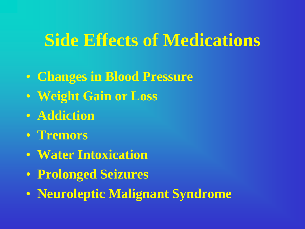## **Side Effects of Medications**

- **Changes in Blood Pressure**
- **Weight Gain or Loss**
- **Addiction**
- **Tremors**
- **Water Intoxication**
- **Prolonged Seizures**
- **Neuroleptic Malignant Syndrome**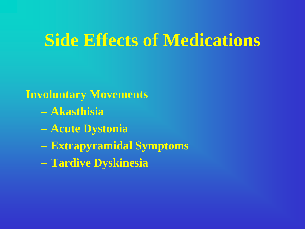## **Side Effects of Medications**

#### **Involuntary Movements**

- **Akasthisia**
- **Acute Dystonia**
- **Extrapyramidal Symptoms**
- **Tardive Dyskinesia**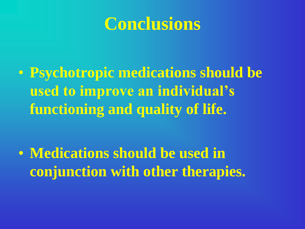## **Conclusions**

• **Psychotropic medications should be used to improve an individual's functioning and quality of life.**

• **Medications should be used in conjunction with other therapies.**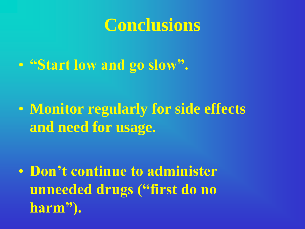## **Conclusions**

• **"Start low and go slow".**

• **Monitor regularly for side effects and need for usage.**

• **Don't continue to administer unneeded drugs ("first do no harm").**